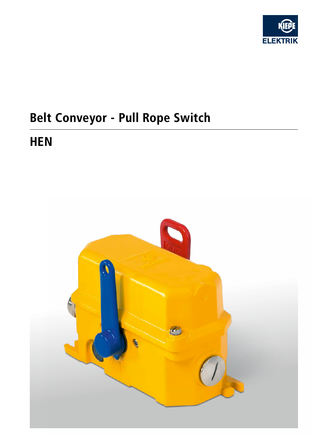

# Belt Conveyor - Pull Rope Switch

## **HEN**

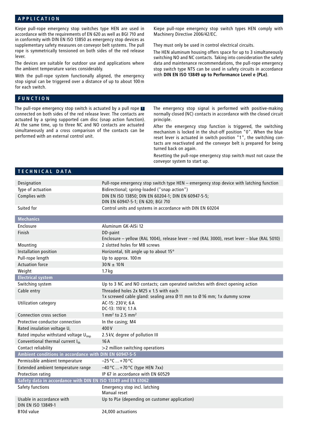#### **APPLICATION**

Kiepe pull-rope emergency stop switches type HEN are used in accordance with the requirements of EN 620 as well as BGI 710 and in conformity with DIN EN ISO 13850 as emergency stop devices as supplementary safety measures on conveyor belt systems. The pull rope is symmetrically tensioned on both sides of the red release lever.

The devices are suitable for outdoor use and applications where the ambient temperature varies considerably.

With the pull-rope system functionally aligned, the emergency stop signal can be triggered over a distance of up to about 100m for each switch.

#### **FUNCTION**

The pull-rope emergency stop switch is actuated by a pull rope **<sup>1</sup>** connected on both sides of the red release lever. The contacts are actuated by a spring supported cam disc (snap action function). At the same time, up to three NC and NO contacts are actuated simultaneously and a cross comparison of the contacts can be performed with an external control unit.

Kiepe pull-rope emergency stop switch types HEN comply with Machinery Directive 2006/42/EC.

They must only be used in control electrical circuits.

The HEN aluminum housing offers space for up to 3 simultaneously switching NO and NC contacts. Taking into consideration the safety data and maintenance recommendations, the pull-rope emergency stop switch type NTS can be used in safety circuits in accordance with **DIN EN ISO 13849 up to Performance Level e (PLe)**.

The emergency stop signal is performed with positive-making normally closed (NC) contacts in accordance with the closed circuit principle.

After the emergency stop function is triggered, the switching mechanism is locked in the shut-off position "0". When the blue reset lever is actuated in switch position "1", the switching contacts are reactivated and the conveyor belt is prepared for being turned back on again.

Resetting the pull-rope emergency stop switch must not cause the conveyor system to start up.

#### **TECHNICAL DATA**

| Designation                                                  | Pull-rope emergency stop switch type HEN - emergency stop device with latching function                          |  |  |  |  |  |  |
|--------------------------------------------------------------|------------------------------------------------------------------------------------------------------------------|--|--|--|--|--|--|
| Type of actuation                                            | Bidirectional; spring-loaded ("snap action")                                                                     |  |  |  |  |  |  |
| Complies with                                                | DIN EN ISO 13850; DIN EN 60204-1; DIN EN 60947-5-5;<br>DIN EN 60947-5-1; EN 620; BGI 710                         |  |  |  |  |  |  |
| Suited for                                                   | Control units and systems in accordance with DIN EN 60204                                                        |  |  |  |  |  |  |
| <b>Mechanics</b>                                             |                                                                                                                  |  |  |  |  |  |  |
| Enclosure                                                    | Aluminum GK-AISi 12                                                                                              |  |  |  |  |  |  |
| Finish                                                       | DD-paint<br>Enclosure - yellow (RAL 1004), release lever - red (RAL 3000), reset lever - blue (RAL 5010)         |  |  |  |  |  |  |
| Mounting                                                     | 2 slotted holes for M8 screws                                                                                    |  |  |  |  |  |  |
| Installation position                                        | Horizontal, tilt angle up to about 15°                                                                           |  |  |  |  |  |  |
| Pull-rope length                                             | Up to approx. 100 m                                                                                              |  |  |  |  |  |  |
| <b>Actuation force</b>                                       | $30 N \pm 10 N$                                                                                                  |  |  |  |  |  |  |
| Weight                                                       | 1.7 <sub>kg</sub>                                                                                                |  |  |  |  |  |  |
| <b>Electrical system</b>                                     |                                                                                                                  |  |  |  |  |  |  |
| Switching system                                             | Up to 3 NC and NO contacts; cam operated switches with direct opening action                                     |  |  |  |  |  |  |
| Cable entry                                                  | Threaded holes 2x M25 x 1.5 with each<br>1x screwed cable gland: sealing area Ø 11 mm to Ø 16 mm; 1x dummy screw |  |  |  |  |  |  |
| <b>Utilization category</b>                                  | AC-15: 230 V; 6 A<br>DC-13: 110 V; 1.1 A                                                                         |  |  |  |  |  |  |
| Connection cross section                                     | $1 \text{ mm}^2$ to 2.5 mm <sup>2</sup>                                                                          |  |  |  |  |  |  |
| Protective conductor connection                              | In the casing; M4                                                                                                |  |  |  |  |  |  |
| Rated insulation voltage U <sub>i</sub>                      | 400V                                                                                                             |  |  |  |  |  |  |
| Rated impulse withstand voltage U <sub>imp</sub>             | 2.5 kV, degree of pollution III                                                                                  |  |  |  |  |  |  |
| Conventional thermal current Ith                             | 16A                                                                                                              |  |  |  |  |  |  |
| Contact reliability                                          | >2 million switching operations                                                                                  |  |  |  |  |  |  |
| Ambient conditions in accordance with DIN EN 60947-5-5       |                                                                                                                  |  |  |  |  |  |  |
| Permissible ambient temperature                              | $-25 °C  + 70 °C$                                                                                                |  |  |  |  |  |  |
| Extended ambient temperature range                           | $-40$ °C  +70 °C (type HEN 7xx)                                                                                  |  |  |  |  |  |  |
| Protection rating                                            | IP 67 in accordance with EN 60529                                                                                |  |  |  |  |  |  |
| Safety data in accordance with DIN EN ISO 13849 and EN 61062 |                                                                                                                  |  |  |  |  |  |  |
| Safety functions                                             | Emergency stop incl. latching<br>Manual reset                                                                    |  |  |  |  |  |  |
| Usable in accordance with<br>DIN EN ISO 13849-1              | Up to PLe (depending on customer application)                                                                    |  |  |  |  |  |  |
| B <sub>10</sub> d value                                      | 24.000 actuations                                                                                                |  |  |  |  |  |  |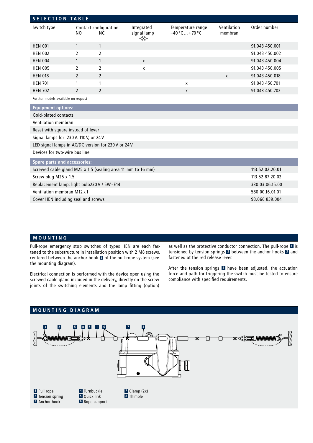| <b>SELECTION TABLE</b>                                      |                 |                              |                                  |                                        |                        |                |  |  |
|-------------------------------------------------------------|-----------------|------------------------------|----------------------------------|----------------------------------------|------------------------|----------------|--|--|
| Switch type                                                 | N <sub>0</sub>  | Contact configuration<br>NC. | Integrated<br>signal lamp<br>-⊗- | Temperature range<br>$-40 °C = +70 °C$ | Ventilation<br>membran | Order number   |  |  |
| <b>HEN 001</b>                                              | $\mathbf{1}$    | $\mathbf{1}$                 |                                  |                                        |                        | 91.043 450.001 |  |  |
| <b>HEN 002</b>                                              | $\overline{2}$  | $\overline{2}$               |                                  |                                        |                        | 91.043 450.002 |  |  |
| <b>HEN 004</b>                                              | $\mathbf{1}$    | $\mathbf{1}$                 | X                                |                                        |                        | 91.043 450.004 |  |  |
| <b>HEN 005</b>                                              | 2               | 2                            | x                                |                                        |                        | 91.043 450.005 |  |  |
| <b>HEN 018</b>                                              | $\overline{2}$  | $\overline{2}$               |                                  |                                        | $\mathsf{x}$           | 91.043 450.018 |  |  |
| <b>HEN 701</b>                                              | 1               | 1                            |                                  | X                                      |                        | 91.043 450.701 |  |  |
| <b>HEN 702</b>                                              | $\mathfrak{p}$  | $\mathfrak{p}$               |                                  | X                                      |                        | 91.043 450.702 |  |  |
| Further models available on request                         |                 |                              |                                  |                                        |                        |                |  |  |
| <b>Equipment options:</b>                                   |                 |                              |                                  |                                        |                        |                |  |  |
| Gold-plated contacts                                        |                 |                              |                                  |                                        |                        |                |  |  |
| Ventilation membran                                         |                 |                              |                                  |                                        |                        |                |  |  |
| Reset with square instead of lever                          |                 |                              |                                  |                                        |                        |                |  |  |
| Signal lamps for 230V, 110V, or 24V                         |                 |                              |                                  |                                        |                        |                |  |  |
| LED signal lamps in AC/DC version for 230V or 24V           |                 |                              |                                  |                                        |                        |                |  |  |
| Devices for two-wire bus line                               |                 |                              |                                  |                                        |                        |                |  |  |
| <b>Spare parts and accessories:</b>                         |                 |                              |                                  |                                        |                        |                |  |  |
| Screwed cable gland M25 x 1.5 (sealing area 11 mm to 16 mm) | 113.52.02.20.01 |                              |                                  |                                        |                        |                |  |  |
| Screw plug M25 x 1.5                                        | 113.52.87.20.02 |                              |                                  |                                        |                        |                |  |  |
| Replacement lamp: light bulb230 V / 5W - E14                | 330.03.06.15.00 |                              |                                  |                                        |                        |                |  |  |
| Ventilation membran M12 x 1                                 | 580.00.16.01.01 |                              |                                  |                                        |                        |                |  |  |
| Cover HEN including seal and screws                         | 93.066 839.004  |                              |                                  |                                        |                        |                |  |  |
|                                                             |                 |                              |                                  |                                        |                        |                |  |  |

#### **MOUNTING**

Pull-rope emergency stop switches of types HEN are each fastened to the substructure in installation position with 2 M8 screws, centered between the anchor hook **3** of the pull-rope system (see the mounting diagram).

Electrical connection is performed with the device open using the screwed cable gland included in the delivery, directly on the screw joints of the switching elements and the lamp fitting (option) as well as the protective conductor connection. The pull-rope **1** is tensioned by tension springs **2** between the anchor hooks **3** and fastened at the red release lever.

After the tension springs **2** have been adjusted, the actuation force and path for triggering the switch must be tested to ensure compliance with specified requirements.